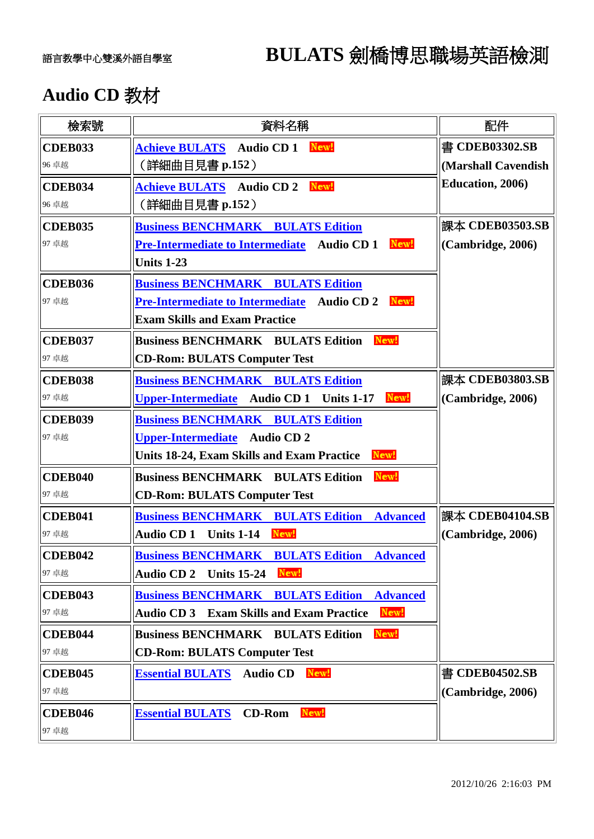## 語言教學中心雙溪外語自學室 **BULATS** 劍橋博思職場英語檢測

## **Audio CD** 教材

| 檢索號            | 資料名稱                                                        | 配件                  |
|----------------|-------------------------------------------------------------|---------------------|
| <b>CDEB033</b> | <b>Achieve BULATS</b> Audio CD 1<br>New!                    | 書 CDEB03302.SB      |
| 96 卓越          | <b>(詳細曲目見書 p.152)</b>                                       | (Marshall Cavendish |
| <b>CDEB034</b> | New!<br><b>Achieve BULATS</b> Audio CD 2                    | Education, 2006)    |
| 96 卓越          | (詳細曲目見書 p.152 )                                             |                     |
| CDEB035        | <b>Business BENCHMARK BULATS Edition</b>                    | 課本 CDEB03503.SB     |
| 97 卓越          | Pre-Intermediate to Intermediate Audio CD 1<br>New!         | (Cambridge, 2006)   |
|                | <b>Units 1-23</b>                                           |                     |
| CDEB036        | <b>Business BENCHMARK BULATS Edition</b>                    |                     |
| 97 卓越          | Pre-Intermediate to Intermediate Audio CD 2 New-            |                     |
|                | <b>Exam Skills and Exam Practice</b>                        |                     |
| <b>CDEB037</b> | New!<br><b>Business BENCHMARK BULATS Edition</b>            |                     |
| 97 卓越          | <b>CD-Rom: BULATS Computer Test</b>                         |                     |
| CDEB038        | <b>Business BENCHMARK BULATS Edition</b>                    | 課本 CDEB03803.SB     |
| 97 卓越          | Audio CD 1 Units 1-17<br>New!<br><b>Upper-Intermediate</b>  | (Cambridge, 2006)   |
| <b>CDEB039</b> | <b>Business BENCHMARK BULATS Edition</b>                    |                     |
| 97 卓越          | <b>Audio CD 2</b><br><b>Upper-Intermediate</b>              |                     |
|                | New!<br><b>Units 18-24, Exam Skills and Exam Practice</b>   |                     |
| <b>CDEB040</b> | New!<br><b>Business BENCHMARK BULATS Edition</b>            |                     |
| 97 卓越          | <b>CD-Rom: BULATS Computer Test</b>                         |                     |
| <b>CDEB041</b> | <b>Business BENCHMARK BULATS Edition</b><br><b>Advanced</b> | 課本 CDEB04104.SB     |
| 97 卓越          | <b>Audio CD1</b><br>New!<br><b>Units 1-14</b>               | (Cambridge, 2006)   |
| CDEB042        | <b>Business BENCHMARK BULATS Edition</b><br><b>Advanced</b> |                     |
| 97 卓越          | Audio CD 2 Units 15-24 New!                                 |                     |
| <b>CDEB043</b> | <b>Business BENCHMARK BULATS Edition</b><br><b>Advanced</b> |                     |
| 97 卓越          | New!<br><b>Audio CD 3 Exam Skills and Exam Practice</b>     |                     |
| CDEB044        | New!<br><b>Business BENCHMARK BULATS Edition</b>            |                     |
| 97 卓越          | <b>CD-Rom: BULATS Computer Test</b>                         |                     |
| <b>CDEB045</b> | New!<br><b>Essential BULATS</b><br><b>Audio CD</b>          | 書 CDEB04502.SB      |
| 97 卓越          |                                                             | (Cambridge, 2006)   |
| <b>CDEB046</b> | <b>CD-Rom</b><br>New!<br><b>Essential BULATS</b>            |                     |
| 97 卓越          |                                                             |                     |